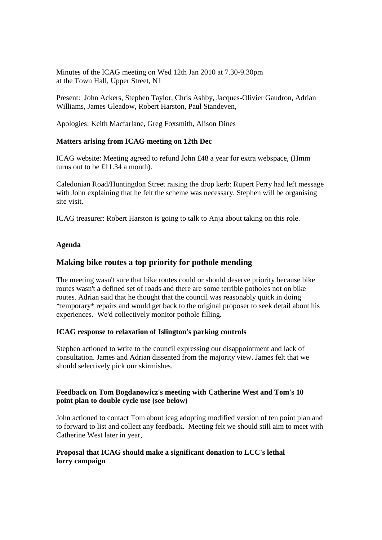Minutes of the ICAG meeting on Wed 12th Jan 2010 at 7.30-9.30pm at the Town Hall, Upper Street, N1

Present: John Ackers, Stephen Taylor, Chris Ashby, Jacques-Olivier Gaudron, Adrian Williams, James Gleadow, Robert Harston, Paul Standeven,

Apologies: Keith Macfarlane, Greg Foxsmith, Alison Dines

## **Matters arising from ICAG meeting on 12th Dec**

ICAG website: Meeting agreed to refund John £48 a year for extra webspace, (Hmm turns out to be £11.34 a month).

Caledonian Road/Huntingdon Street raising the drop kerb: Rupert Perry had left message with John explaining that he felt the scheme was necessary. Stephen will be organising site visit.

ICAG treasurer: Robert Harston is going to talk to Anja about taking on this role.

#### **Agenda**

## **Making bike routes a top priority for pothole mending**

The meeting wasn't sure that bike routes could or should deserve priority because bike routes wasn't a defined set of roads and there are some terrible potholes not on bike routes. Adrian said that he thought that the council was reasonably quick in doing \*temporary\* repairs and would get back to the original proposer to seek detail about his experiences. We'd collectively monitor pothole filling.

#### **ICAG response to relaxation of Islington's parking controls**

Stephen actioned to write to the council expressing our disappointment and lack of consultation. James and Adrian dissented from the majority view. James felt that we should selectively pick our skirmishes.

#### **Feedback on Tom Bogdanowicz's meeting with Catherine West and Tom's 10 point plan to double cycle use (see below)**

John actioned to contact Tom about icag adopting modified version of ten point plan and to forward to list and collect any feedback. Meeting felt we should still aim to meet with Catherine West later in year,

## **Proposal that ICAG should make a significant donation to LCC's lethal lorry campaign**